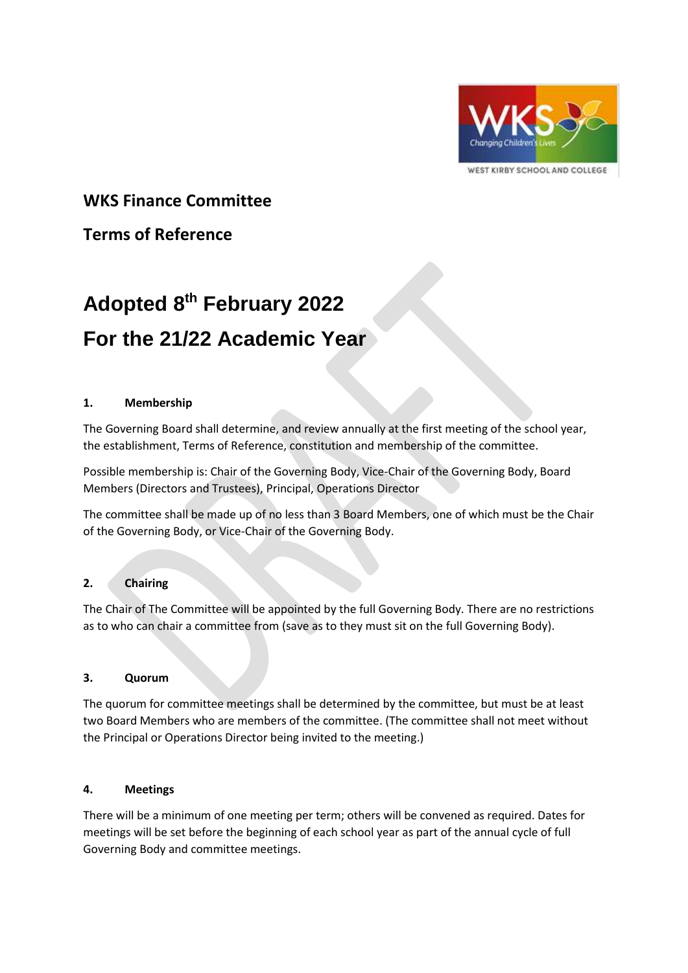

WEST KIRBY SCHOOL AND COLLEGE

# **WKS Finance Committee**

# **Terms of Reference**

# **Adopted 8 th February 2022 For the 21/22 Academic Year**

## **1. Membership**

The Governing Board shall determine, and review annually at the first meeting of the school year, the establishment, Terms of Reference, constitution and membership of the committee.

Possible membership is: Chair of the Governing Body, Vice-Chair of the Governing Body, Board Members (Directors and Trustees), Principal, Operations Director

The committee shall be made up of no less than 3 Board Members, one of which must be the Chair of the Governing Body, or Vice-Chair of the Governing Body.

## **2. Chairing**

The Chair of The Committee will be appointed by the full Governing Body. There are no restrictions as to who can chair a committee from (save as to they must sit on the full Governing Body).

## **3. Quorum**

The quorum for committee meetings shall be determined by the committee, but must be at least two Board Members who are members of the committee. (The committee shall not meet without the Principal or Operations Director being invited to the meeting.)

#### **4. Meetings**

There will be a minimum of one meeting per term; others will be convened as required. Dates for meetings will be set before the beginning of each school year as part of the annual cycle of full Governing Body and committee meetings.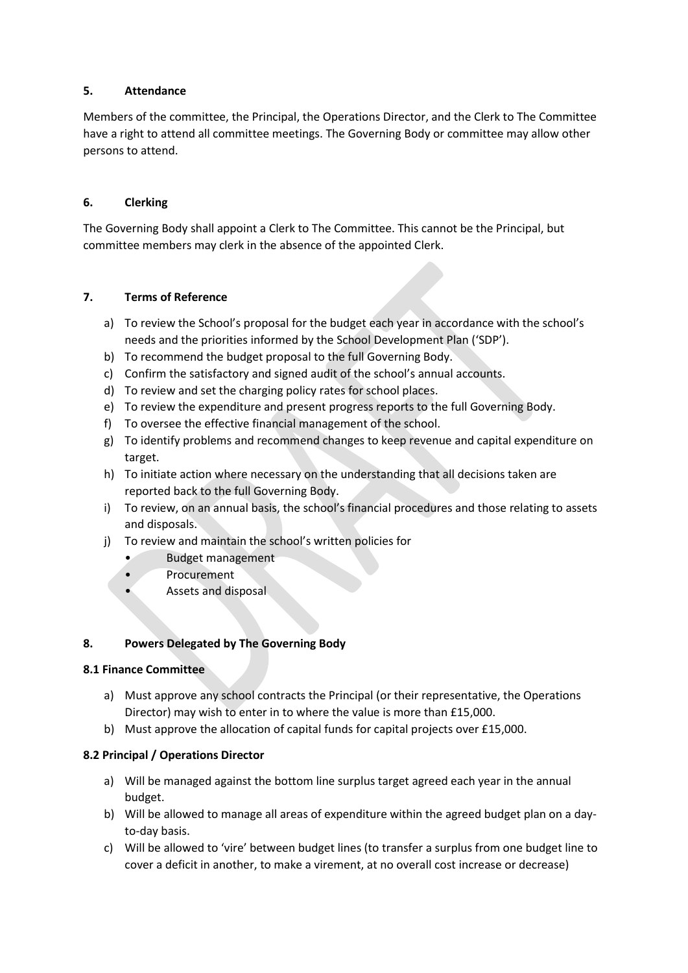## **5. Attendance**

Members of the committee, the Principal, the Operations Director, and the Clerk to The Committee have a right to attend all committee meetings. The Governing Body or committee may allow other persons to attend.

#### **6. Clerking**

The Governing Body shall appoint a Clerk to The Committee. This cannot be the Principal, but committee members may clerk in the absence of the appointed Clerk.

## **7. Terms of Reference**

- a) To review the School's proposal for the budget each year in accordance with the school's needs and the priorities informed by the School Development Plan ('SDP').
- b) To recommend the budget proposal to the full Governing Body.
- c) Confirm the satisfactory and signed audit of the school's annual accounts.
- d) To review and set the charging policy rates for school places.
- e) To review the expenditure and present progress reports to the full Governing Body.
- f) To oversee the effective financial management of the school.
- g) To identify problems and recommend changes to keep revenue and capital expenditure on target.
- h) To initiate action where necessary on the understanding that all decisions taken are reported back to the full Governing Body.
- i) To review, on an annual basis, the school's financial procedures and those relating to assets and disposals.
- j) To review and maintain the school's written policies for
	- Budget management
	- **Procurement**
	- Assets and disposal

#### **8. Powers Delegated by The Governing Body**

#### **8.1 Finance Committee**

- a) Must approve any school contracts the Principal (or their representative, the Operations Director) may wish to enter in to where the value is more than £15,000.
- b) Must approve the allocation of capital funds for capital projects over £15,000.

#### **8.2 Principal / Operations Director**

- a) Will be managed against the bottom line surplus target agreed each year in the annual budget.
- b) Will be allowed to manage all areas of expenditure within the agreed budget plan on a dayto-day basis.
- c) Will be allowed to 'vire' between budget lines (to transfer a surplus from one budget line to cover a deficit in another, to make a virement, at no overall cost increase or decrease)